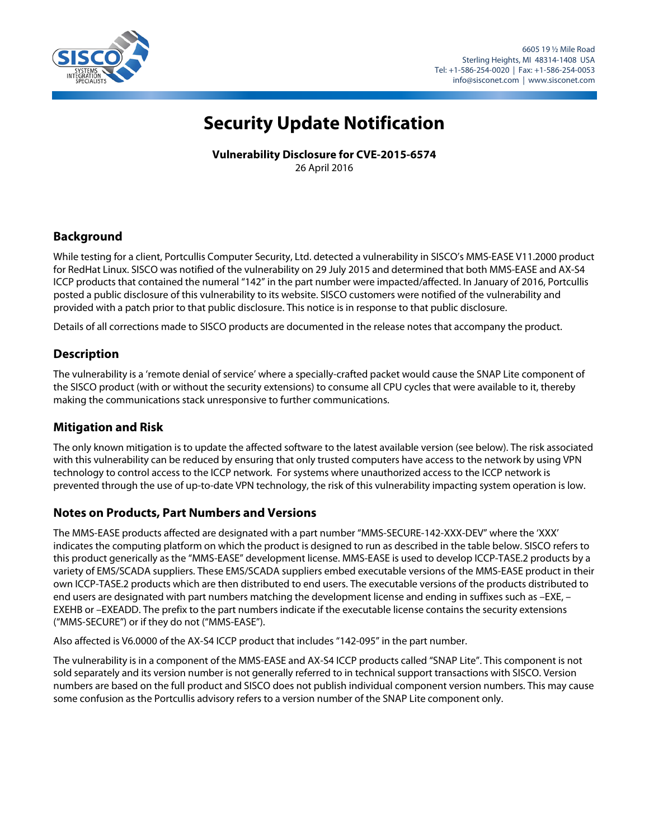

# **Security Update Notification**

**Vulnerability Disclosure for CVE-2015-6574** 26 April 2016

**Background**

While testing for a client, Portcullis Computer Security, Ltd. detected a vulnerability in SISCO's MMS-EASE V11.2000 product for RedHat Linux. SISCO was notified of the vulnerability on 29 July 2015 and determined that both MMS-EASE and AX-S4 ICCP products that contained the numeral "142" in the part number were impacted/affected. In January of 2016, Portcullis posted a public disclosure of this vulnerability to its website. SISCO customers were notified of the vulnerability and provided with a patch prior to that public disclosure. This notice is in response to that public disclosure.

Details of all corrections made to SISCO products are documented in the release notes that accompany the product.

## **Description**

The vulnerability is a 'remote denial of service' where a specially-crafted packet would cause the SNAP Lite component of the SISCO product (with or without the security extensions) to consume all CPU cycles that were available to it, thereby making the communications stack unresponsive to further communications.

#### **Mitigation and Risk**

The only known mitigation is to update the affected software to the latest available version (see below). The risk associated with this vulnerability can be reduced by ensuring that only trusted computers have access to the network by using VPN technology to control access to the ICCP network. For systems where unauthorized access to the ICCP network is prevented through the use of up-to-date VPN technology, the risk of this vulnerability impacting system operation is low.

#### **Notes on Products, Part Numbers and Versions**

The MMS-EASE products affected are designated with a part number "MMS-SECURE-142-XXX-DEV" where the 'XXX' indicates the computing platform on which the product is designed to run as described in the table below. SISCO refers to this product generically as the "MMS-EASE" development license. MMS-EASE is used to develop ICCP-TASE.2 products by a variety of EMS/SCADA suppliers. These EMS/SCADA suppliers embed executable versions of the MMS-EASE product in their own ICCP-TASE.2 products which are then distributed to end users. The executable versions of the products distributed to end users are designated with part numbers matching the development license and ending in suffixes such as –EXE, – EXEHB or –EXEADD. The prefix to the part numbers indicate if the executable license contains the security extensions ("MMS-SECURE") or if they do not ("MMS-EASE").

Also affected is V6.0000 of the AX-S4 ICCP product that includes "142-095" in the part number.

The vulnerability is in a component of the MMS-EASE and AX-S4 ICCP products called "SNAP Lite". This component is not sold separately and its version number is not generally referred to in technical support transactions with SISCO. Version numbers are based on the full product and SISCO does not publish individual component version numbers. This may cause some confusion as the Portcullis advisory refers to a version number of the SNAP Lite component only.